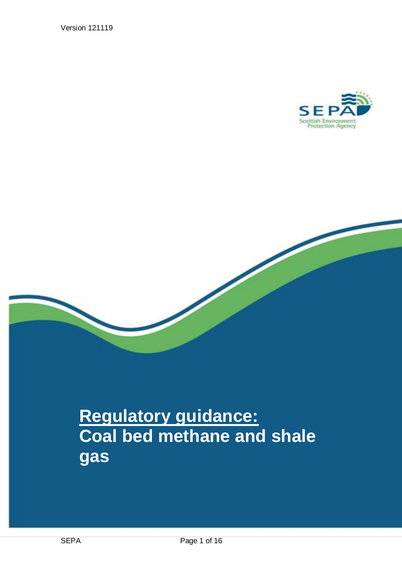Version 121119





# **Regulatory guidance: Coal bed methane and shale gas**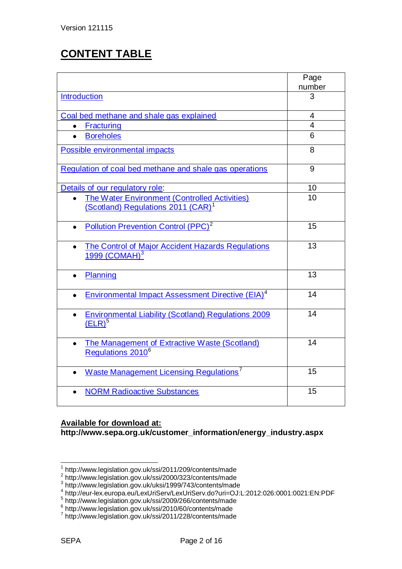# **CONTENT TABLE**

|                                                                                                        | Page           |
|--------------------------------------------------------------------------------------------------------|----------------|
|                                                                                                        | number         |
| <b>Introduction</b>                                                                                    | 3              |
|                                                                                                        |                |
| Coal bed methane and shale gas explained                                                               | $\overline{4}$ |
| <b>Fracturing</b>                                                                                      | $\overline{4}$ |
| <b>Boreholes</b>                                                                                       | 6              |
| Possible environmental impacts                                                                         | 8              |
| Regulation of coal bed methane and shale gas operations                                                | 9              |
| Details of our regulatory role:                                                                        | 10             |
| <b>The Water Environment (Controlled Activities)</b><br>(Scotland) Regulations 2011 (CAR) <sup>1</sup> | 10             |
|                                                                                                        |                |
| Pollution Prevention Control (PPC) <sup>2</sup><br>$\bullet$                                           | 15             |
| <b>The Control of Major Accident Hazards Regulations</b><br>1999 (COMAH) $3$                           | 13             |
| Planning                                                                                               | 13             |
| <b>Environmental Impact Assessment Directive (EIA)<sup>4</sup></b>                                     | 14             |
| <b>Environmental Liability (Scotland) Regulations 2009</b><br>$\bullet$<br>(ELR) <sup>5</sup>          | 14             |
| The Management of Extractive Waste (Scotland)<br>Regulations 2010 <sup>6</sup>                         | 14             |
| <b>Waste Management Licensing Regulations</b> <sup>7</sup>                                             | 15             |
| <b>NORM Radioactive Substances</b>                                                                     | 15             |

# **Available for download at:**

**http://www.sepa.org.uk/customer\_information/energy\_industry.aspx**

 1 http://www.legislation.gov.uk/ssi/2011/209/contents/made 2 http://www.legislation.gov.uk/ssi/2000/323/contents/made

<sup>&</sup>lt;sup>3</sup> http://www.legislation.gov.uk/uksi/1999/743/contents/made<br><sup>4</sup> http://eur-lex.europa.eu/LexUriServ/LexUriServ.do?uri=OJ:L:2012:026:0001:0021:EN:PDF

<sup>5</sup> http://www.legislation.gov.uk/ssi/2009/266/contents/made

<sup>&</sup>lt;sup>6</sup> http://www.legislation.gov.uk/ssi/2010/60/contents/made<br><sup>7</sup> http://www.legislation.gov.uk/ssi/2011/228/contents/made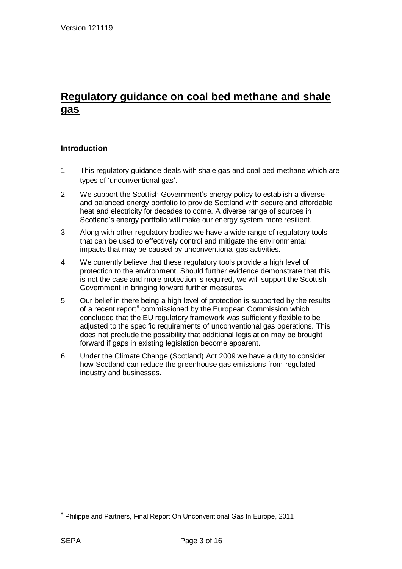# **Regulatory guidance on coal bed methane and shale gas**

## <span id="page-2-0"></span>**Introduction**

- 1. This regulatory guidance deals with shale gas and coal bed methane which are types of 'unconventional gas'.
- 2. We support the Scottish Government"s energy policy to establish a diverse and balanced energy portfolio to provide Scotland with secure and affordable heat and electricity for decades to come. A diverse range of sources in Scotland's energy portfolio will make our energy system more resilient.
- 3. Along with other regulatory bodies we have a wide range of regulatory tools that can be used to effectively control and mitigate the environmental impacts that may be caused by unconventional gas activities.
- 4. We currently believe that these regulatory tools provide a high level of protection to the environment. Should further evidence demonstrate that this is not the case and more protection is required, we will support the Scottish Government in bringing forward further measures.
- 5. Our belief in there being a high level of protection is supported by the results of a recent report<sup>8</sup> commissioned by the European Commission which concluded that the EU regulatory framework was sufficiently flexible to be adjusted to the specific requirements of unconventional gas operations. This does not preclude the possibility that additional legislation may be brought forward if gaps in existing legislation become apparent.
- 6. Under the Climate Change (Scotland) Act 2009 we have a duty to consider how Scotland can reduce the greenhouse gas emissions from regulated industry and businesses.

<sup>&</sup>lt;sup>8</sup> Philippe and Partners, Final Report On Unconventional Gas In Europe, 2011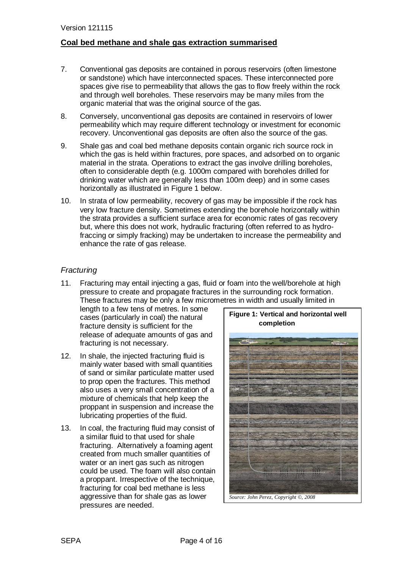## <span id="page-3-0"></span>**Coal bed methane and shale gas extraction summarised**

- 7. Conventional gas deposits are contained in porous reservoirs (often limestone or sandstone) which have interconnected spaces. These interconnected pore spaces give rise to permeability that allows the gas to flow freely within the rock and through well boreholes. These reservoirs may be many miles from the organic material that was the original source of the gas.
- 8. Conversely, unconventional gas deposits are contained in reservoirs of lower permeability which may require different technology or investment for economic recovery. Unconventional gas deposits are often also the source of the gas.
- 9. Shale gas and coal bed methane deposits contain organic rich source rock in which the gas is held within fractures, pore spaces, and adsorbed on to organic material in the strata. Operations to extract the gas involve drilling boreholes, often to considerable depth (e.g. 1000m compared with boreholes drilled for drinking water which are generally less than 100m deep) and in some cases horizontally as illustrated in Figure 1 below.
- 10. In strata of low permeability, recovery of gas may be impossible if the rock has very low fracture density. Sometimes extending the borehole horizontally within the strata provides a sufficient surface area for economic rates of gas recovery but, where this does not work, hydraulic fracturing (often referred to as hydrofraccing or simply fracking) may be undertaken to increase the permeability and enhance the rate of gas release.

# <span id="page-3-1"></span>*Fracturing*

11. Fracturing may entail injecting a gas, fluid or foam into the well/borehole at high pressure to create and propagate fractures in the surrounding rock formation. These fractures may be only a few micrometres in width and usually limited in

length to a few tens of metres. In some cases (particularly in coal) the natural fracture density is sufficient for the release of adequate amounts of gas and fracturing is not necessary.

- 12. In shale, the injected fracturing fluid is mainly water based with small quantities of sand or similar particulate matter used to prop open the fractures. This method also uses a very small concentration of a mixture of chemicals that help keep the proppant in suspension and increase the lubricating properties of the fluid.
- 13. In coal, the fracturing fluid may consist of a similar fluid to that used for shale fracturing. Alternatively a foaming agent created from much smaller quantities of water or an inert gas such as nitrogen could be used. The foam will also contain a proppant. Irrespective of the technique, fracturing for coal bed methane is less aggressive than for shale gas as lower pressures are needed.

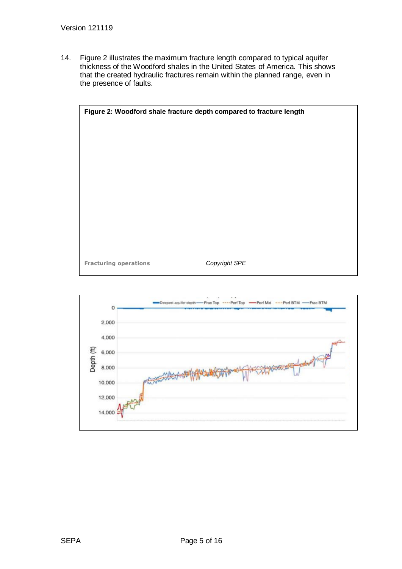14. Figure 2 illustrates the maximum fracture length compared to typical aquifer thickness of the Woodford shales in the United States of America. This shows that the created hydraulic fractures remain within the planned range, even in the presence of faults.



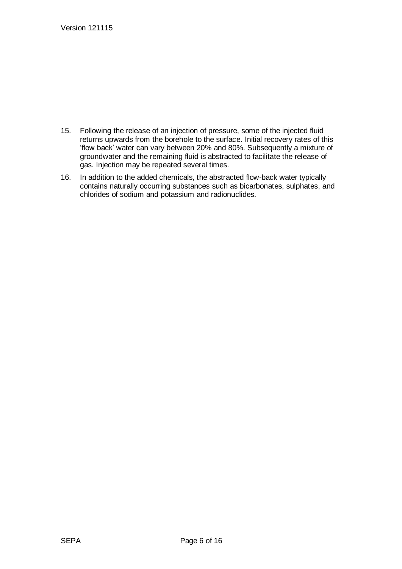- 15. Following the release of an injection of pressure, some of the injected fluid returns upwards from the borehole to the surface. Initial recovery rates of this "flow back" water can vary between 20% and 80%. Subsequently a mixture of groundwater and the remaining fluid is abstracted to facilitate the release of gas. Injection may be repeated several times.
- 16. In addition to the added chemicals, the abstracted flow-back water typically contains naturally occurring substances such as bicarbonates, sulphates, and [chlorides](http://en.wikipedia.org/wiki/Chloride) of sodium and potassium and radionuclides.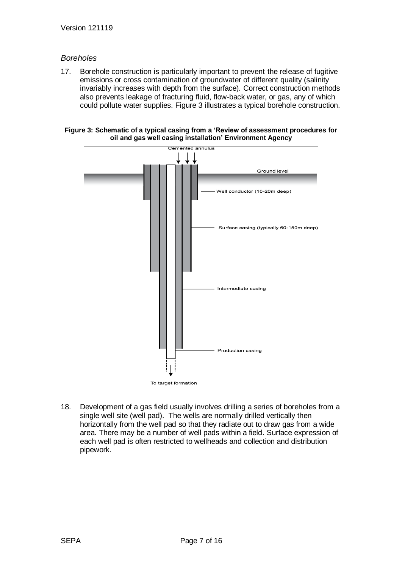## <span id="page-6-0"></span>*Boreholes*

17. Borehole construction is particularly important to prevent the release of fugitive emissions or cross contamination of groundwater of different quality (salinity invariably increases with depth from the surface). Correct construction methods also prevents leakage of fracturing fluid, flow-back water, or gas, any of which could pollute water supplies. Figure 3 illustrates a typical borehole construction.





18. Development of a gas field usually involves drilling a series of boreholes from a single well site (well pad). The wells are normally drilled vertically then horizontally from the well pad so that they radiate out to draw gas from a wide area. There may be a number of well pads within a field. Surface expression of each well pad is often restricted to wellheads and collection and distribution pipework.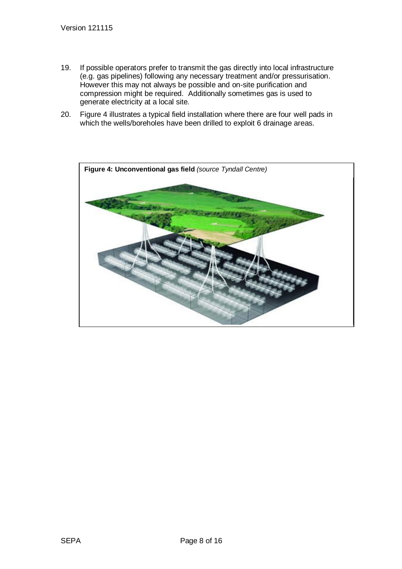- 19. If possible operators prefer to transmit the gas directly into local infrastructure (e.g. gas pipelines) following any necessary treatment and/or pressurisation. However this may not always be possible and on-site purification and compression might be required. Additionally sometimes gas is used to generate electricity at a local site.
- 20. Figure 4 illustrates a typical field installation where there are four well pads in which the wells/boreholes have been drilled to exploit 6 drainage areas.

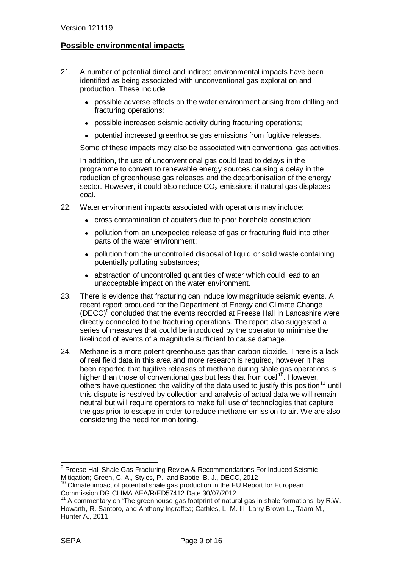# <span id="page-8-0"></span>**Possible environmental impacts**

- 21. A number of potential direct and indirect environmental impacts have been identified as being associated with unconventional gas exploration and production. These include:
	- possible adverse effects on the water environment arising from drilling and fracturing operations;
	- possible increased seismic activity during fracturing operations;
	- potential increased greenhouse gas emissions from fugitive releases.

Some of these impacts may also be associated with conventional gas activities.

In addition, the use of unconventional gas could lead to delays in the programme to convert to renewable energy sources causing a delay in the reduction of greenhouse gas releases and the decarbonisation of the energy sector. However, it could also reduce  $CO<sub>2</sub>$  emissions if natural gas displaces coal.

- 22. Water environment impacts associated with operations may include:
	- cross contamination of aquifers due to poor borehole construction;
	- pollution from an unexpected release of gas or fracturing fluid into other parts of the water environment;
	- pollution from the uncontrolled disposal of liquid or solid waste containing potentially polluting substances;
	- abstraction of uncontrolled quantities of water which could lead to an unacceptable impact on the water environment.
- 23. There is evidence that fracturing can induce low magnitude seismic events. A recent report produced for the Department of Energy and Climate Change (DECC)<sup>9</sup> concluded that the events recorded at Preese Hall in Lancashire were directly connected to the fracturing operations. The report also suggested a series of measures that could be introduced by the operator to minimise the likelihood of events of a magnitude sufficient to cause damage.
- 24. Methane is a more potent greenhouse gas than carbon dioxide. There is a lack of real field data in this area and more research is required, however it has been reported that fugitive releases of methane during shale gas operations is higher than those of conventional gas but less that from coal<sup>10</sup>. However, others have questioned the validity of the data used to justify this position<sup>11</sup> until this dispute is resolved by collection and analysis of actual data we will remain neutral but will require operators to make full use of technologies that capture the gas prior to escape in order to reduce methane emission to air. We are also considering the need for monitoring.

<sup>&</sup>lt;sup>9</sup> Preese Hall Shale Gas Fracturing Review & Recommendations For Induced Seismic Mitigation; Green, C. A., Styles, P., and Baptie, B. J., DECC, 2012

 $10$  Climate impact of potential shale gas production in the EU Report for European Commission DG CLIMA AEA/R/ED57412 Date 30/07/2012

 $11$  A commentary on 'The greenhouse-gas footprint of natural gas in shale formations' by R.W. Howarth, R. Santoro, and Anthony Ingraffea; Cathles, L. M. III, Larry Brown L., Taam M., Hunter A., 2011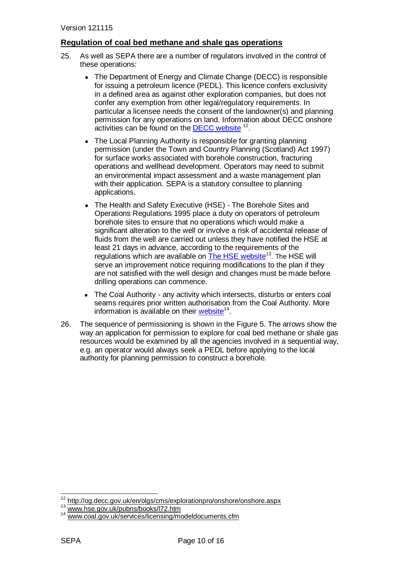## <span id="page-9-0"></span>**Regulation of coal bed methane and shale gas operations**

- 25. As well as SEPA there are a number of regulators involved in the control of these operations:
	- The Department of Energy and Climate Change (DECC) is responsible for issuing a petroleum licence (PEDL). This licence confers exclusivity in a defined area as against other exploration companies, but does not confer any exemption from other legal/regulatory requirements. In particular a licensee needs the consent of the landowner(s) and planning permission for any operations on land. Information about DECC onshore activities can be found on the **DECC website** <sup>12</sup>.
	- The Local Planning Authority is responsible for granting planning  $\bullet$ permission (under the Town and Country Planning (Scotland) Act 1997) for surface works associated with borehole construction, fracturing operations and wellhead development. Operators may need to submit an environmental impact assessment and a waste management plan with their application. SEPA is a statutory consultee to planning applications.
	- The Health and Safety Executive (HSE) The Borehole Sites and Operations Regulations 1995 place a duty on operators of petroleum borehole sites to ensure that no operations which would make a significant alteration to the well or involve a risk of accidental release of fluids from the well are carried out unless they have notified the HSE at least 21 days in advance, according to the requirements of the regulations which are available on **[The HSE](http://www.hse.gov.uk/pubns/books/l72.htm) website**<sup>13</sup>. The HSE will serve an improvement notice requiring modifications to the plan if they are not satisfied with the well design and changes must be made before drilling operations can commence.
	- The Coal Authority any activity which intersects, disturbs or enters coal seams requires prior written authorisation from the Coal Authority. More information is available on their **website**<sup>14</sup>.
- 26. The sequence of permissioning is shown in the Figure 5. The arrows show the way an application for permission to explore for coal bed methane or shale gas resources would be examined by all the agencies involved in a sequential way, e.g. an operator would always seek a PEDL before applying to the local authority for planning permission to construct a borehole.

<sup>&</sup>lt;sup>12</sup> <http://og.decc.gov.uk/en/olgs/cms/explorationpro/onshore/onshore.aspx>

[www.hse.gov.uk/pubns/books/l72.htm](http://www.hse.gov.uk/pubns/books/l72.htm)

[www.coal.gov.uk/services/licensing/modeldocuments.cfm](http://www.coal.gov.uk/services/licensing/modeldocuments.cfm)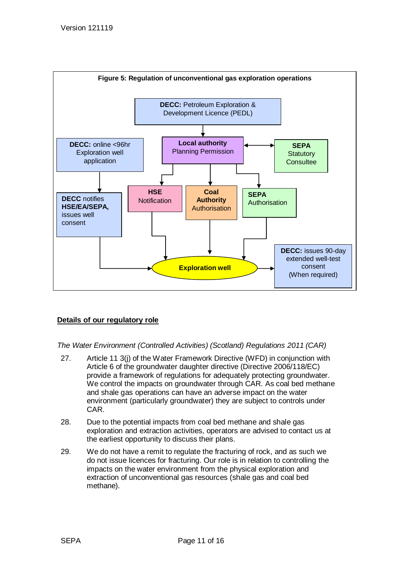

# <span id="page-10-0"></span>**Details of our regulatory role**

<span id="page-10-1"></span>*The Water Environment (Controlled Activities) (Scotland) Regulations 2011 (CAR)*

- 27. Article 11 3(j) of the Water Framework Directive (WFD) in conjunction with Article 6 of the groundwater daughter directive (Directive 2006/118/EC) provide a framework of regulations for adequately protecting groundwater. We control the impacts on groundwater through CAR. As coal bed methane and shale gas operations can have an adverse impact on the water environment (particularly groundwater) they are subject to controls under CAR.
- 28. Due to the potential impacts from coal bed methane and shale gas exploration and extraction activities, operators are advised to contact us at the earliest opportunity to discuss their plans.
- 29. We do not have a remit to regulate the fracturing of rock, and as such we do not issue licences for fracturing. Our role is in relation to controlling the impacts on the water environment from the physical exploration and extraction of unconventional gas resources (shale gas and coal bed methane).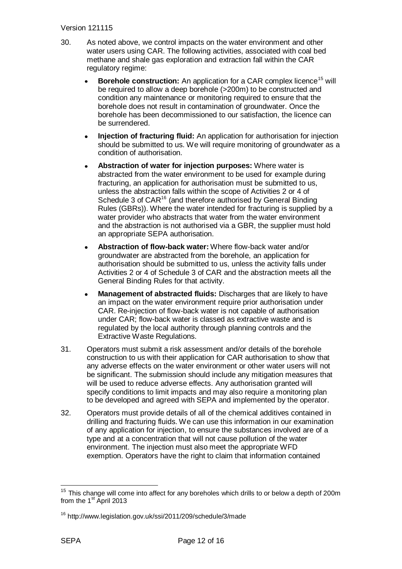#### Version 121115

- 30. As noted above, we control impacts on the water environment and other water users using CAR. The following activities, associated with coal bed methane and shale gas exploration and extraction fall within the CAR regulatory regime:
	- **Borehole construction:** An application for a CAR complex licence<sup>15</sup> will be required to allow a deep borehole (>200m) to be constructed and condition any maintenance or monitoring required to ensure that the borehole does not result in contamination of groundwater. Once the borehole has been decommissioned to our satisfaction, the licence can be surrendered.
	- **Injection of fracturing fluid:** An application for authorisation for injection should be submitted to us. We will require monitoring of groundwater as a condition of authorisation.
	- **Abstraction of water for injection purposes:** Where water is abstracted from the water environment to be used for example during fracturing, an application for authorisation must be submitted to us, unless the abstraction falls within the scope of Activities 2 or 4 of Schedule 3 of CAR<sup>16</sup> (and therefore authorised by General Binding Rules (GBRs)). Where the water intended for fracturing is supplied by a water provider who abstracts that water from the water environment and the abstraction is not authorised via a GBR, the supplier must hold an appropriate SEPA authorisation.
	- **Abstraction of flow-back water:** Where flow-back water and/or groundwater are abstracted from the borehole, an application for authorisation should be submitted to us, unless the activity falls under Activities 2 or 4 of Schedule 3 of CAR and the abstraction meets all the General Binding Rules for that activity.
	- **Management of abstracted fluids:** Discharges that are likely to have an impact on the water environment require prior authorisation under CAR. Re-injection of flow-back water is not capable of authorisation under CAR; flow-back water is classed as extractive waste and is regulated by the local authority through planning controls and the Extractive Waste Regulations.
- 31. Operators must submit a risk assessment and/or details of the borehole construction to us with their application for CAR authorisation to show that any adverse effects on the water environment or other water users will not be significant. The submission should include any mitigation measures that will be used to reduce adverse effects. Any authorisation granted will specify conditions to limit impacts and may also require a monitoring plan to be developed and agreed with SEPA and implemented by the operator.
- 32. Operators must provide details of all of the chemical additives contained in drilling and fracturing fluids. We can use this information in our examination of any application for injection, to ensure the substances involved are of a type and at a concentration that will not cause pollution of the water environment. The injection must also meet the appropriate WFD exemption. Operators have the right to claim that information contained

-

<sup>15</sup> This change will come into affect for any boreholes which drills to or below a depth of 200m from the  $1<sup>st</sup>$  April 2013

<sup>16</sup> http://www.legislation.gov.uk/ssi/2011/209/schedule/3/made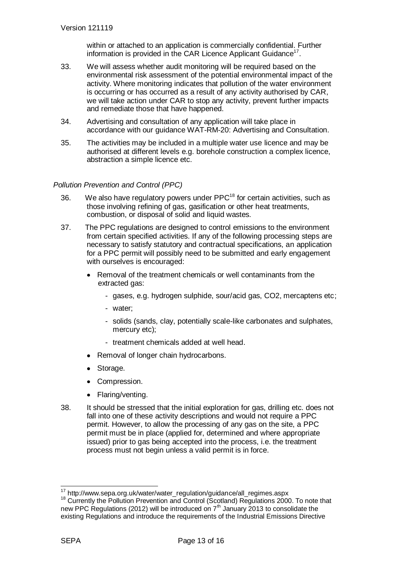within or attached to an application is commercially confidential. Further information is provided in the [CAR Licence Applicant Guidance](http://www.sepa.org.uk/system_pages/idoc.ashx?docid=e095ae96-9407-451f-a608-8b0441d4d5f5&version=-1)<sup>17</sup>.

- 33. We will assess whether audit monitoring will be required based on the environmental risk assessment of the potential environmental impact of the activity. Where monitoring indicates that pollution of the water environment is occurring or has occurred as a result of any activity authorised by CAR, we will take action under CAR to stop any activity, prevent further impacts and remediate those that have happened.
- 34. Advertising and consultation of any application will take place in accordance with our guidance WAT-RM-20: [Advertising and Consultation.](http://www.sepa.org.uk/water/water_regulation/guidance/idoc.ashx?docid=0a4c6b0d-b89c-4339-a2b7-2750ae2ef652&version=-1)
- 35. The activities may be included in a multiple water use licence and may be authorised at different levels e.g. borehole construction a complex licence, abstraction a simple licence etc.

## <span id="page-12-0"></span>*Pollution Prevention and Control (PPC)*

- 36. We also have regulatory powers under  $PPC<sup>18</sup>$  for certain activities, such as those involving refining of gas, gasification or other heat treatments, combustion, or disposal of solid and liquid wastes.
- 37. The PPC regulations are designed to control emissions to the environment from certain specified activities. If any of the following processing steps are necessary to satisfy statutory and contractual specifications, an application for a PPC permit will possibly need to be submitted and early engagement with ourselves is encouraged:
	- Removal of the treatment chemicals or well contaminants from the extracted gas:
		- gases, e.g. hydrogen sulphide, sour/acid gas, CO2, mercaptens etc;
		- water;
		- solids (sands, clay, potentially scale-like carbonates and sulphates, mercury etc);
		- treatment chemicals added at well head.
	- Removal of longer chain hydrocarbons.
	- Storage.
	- Compression.
	- Flaring/venting.
- 38. It should be stressed that the initial exploration for gas, drilling etc. does not fall into one of these activity descriptions and would not require a PPC permit. However, to allow the processing of any gas on the site, a PPC permit must be in place (applied for, determined and where appropriate issued) prior to gas being accepted into the process, i.e. the treatment process must not begin unless a valid permit is in force.

<sup>&</sup>lt;sup>17</sup> http://www.sepa.org.uk/water/water\_regulation/guidance/all\_regimes.aspx

<sup>&</sup>lt;sup>18</sup> Currently the Pollution Prevention and Control (Scotland) Regulations 2000. To note that new PPC Regulations (2012) will be introduced on  $7<sup>th</sup>$  January 2013 to consolidate the existing Regulations and introduce the requirements of the Industrial Emissions Directive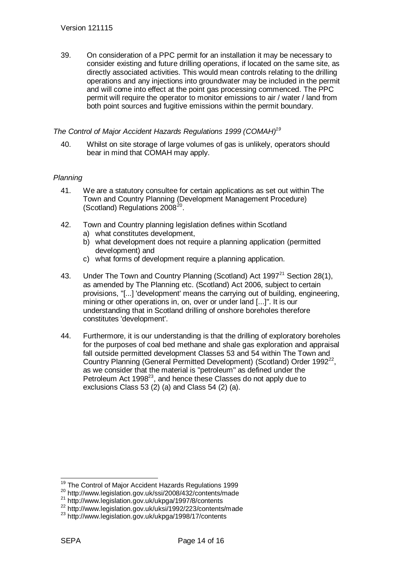39. On consideration of a PPC permit for an installation it may be necessary to consider existing and future drilling operations, if located on the same site, as directly associated activities. This would mean controls relating to the drilling operations and any injections into groundwater may be included in the permit and will come into effect at the point gas processing commenced. The PPC permit will require the operator to monitor emissions to air / water / land from both point sources and fugitive emissions within the permit boundary.

#### <span id="page-13-0"></span>*The Control of Major Accident Hazards Regulations 1999 (COMAH)<sup>19</sup>*

40. Whilst on site storage of large volumes of gas is unlikely, operators should bear in mind that COMAH may apply.

#### <span id="page-13-1"></span>*Planning*

- 41. We are a statutory consultee for certain applications as set out within The Town and Country Planning (Development Management Procedure) (Scotland) Regulations  $2008^{20}$ .
- 42. Town and Country planning legislation defines within Scotland a) what constitutes development,
	- b) what development does not require a planning application (permitted development) and
	- c) what forms of development require a planning application.
- 43. Under The Town and Country Planning (Scotland) Act 1997 $^{21}$  Section 28(1), as amended by The Planning etc. (Scotland) Act 2006, subject to certain provisions, "[...] 'development' means the carrying out of building, engineering, mining or other operations in, on, over or under land [...]". It is our understanding that in Scotland drilling of onshore boreholes therefore constitutes 'development'.
- 44. Furthermore, it is our understanding is that the drilling of exploratory boreholes for the purposes of coal bed methane and shale gas exploration and appraisal fall outside permitted development Classes 53 and 54 within The Town and Country Planning (General Permitted Development) (Scotland) Order 1992<sup>22</sup>, as we consider that the material is "petroleum" as defined under the Petroleum Act 1998<sup>23</sup>, and hence these Classes do not apply due to exclusions Class 53 (2) (a) and Class 54 (2) (a).

 $\overline{1}$ <sup>19</sup> The Control of Major Accident Hazards Regulations 1999

<sup>20</sup> http://www.legislation.gov.uk/ssi/2008/432/contents/made

<sup>21</sup> http://www.legislation.gov.uk/ukpga/1997/8/contents

<sup>22</sup> http://www.legislation.gov.uk/uksi/1992/223/contents/made

<sup>23</sup> http://www.legislation.gov.uk/ukpga/1998/17/contents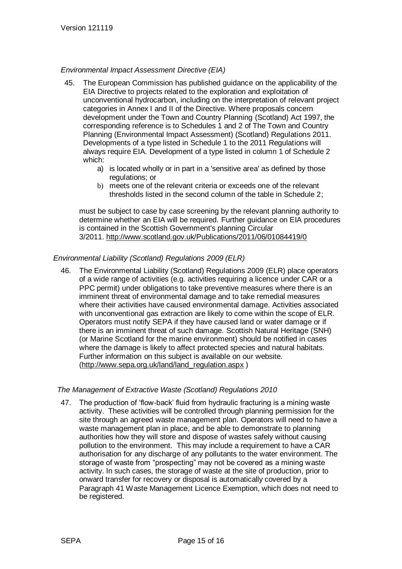#### <span id="page-14-0"></span>*Environmental Impact Assessment Directive (EIA)*

- 45. The European Commission has published guidance on the applicability of the EIA Directive to projects related to the exploration and exploitation of unconventional hydrocarbon, including on the interpretation of relevant project categories in Annex I and II of the Directive. Where proposals concern development under the Town and Country Planning (Scotland) Act 1997, the corresponding reference is to Schedules 1 and 2 of The Town and Country Planning (Environmental Impact Assessment) (Scotland) Regulations 2011. Developments of a type listed in Schedule 1 to the 2011 Regulations will always require EIA. Development of a type listed in column 1 of Schedule 2 which:
	- a) is located wholly or in part in a 'sensitive area' as defined by those regulations; or
	- b) meets one of the relevant criteria or exceeds one of the relevant thresholds listed in the second column of the table in Schedule 2;

must be subject to case by case screening by the relevant planning authority to determine whether an EIA will be required. Further guidance on EIA procedures is contained in the Scottish Government's planning Circular 3/2011. <http://www.scotland.gov.uk/Publications/2011/06/01084419/0>

## <span id="page-14-1"></span>*Environmental Liability (Scotland) Regulations 2009 (ELR)*

46. The Environmental Liability (Scotland) Regulations 2009 (ELR) place operators of a wide range of activities (e.g. activities requiring a licence under CAR or a PPC permit) under obligations to take preventive measures where there is an imminent threat of environmental damage and to take remedial measures where their activities have caused environmental damage. Activities associated with unconventional gas extraction are likely to come within the scope of ELR. Operators must notify SEPA if they have caused land or water damage or if there is an imminent threat of such damage. Scottish Natural Heritage (SNH) (or Marine Scotland for the marine environment) should be notified in cases where the damage is likely to affect protected species and natural habitats. Further information on this subject is available on our website. [\(http://www.sepa.org.uk/land/land\\_regulation.aspx](http://www.sepa.org.uk/land/land_regulation.aspx))

#### <span id="page-14-2"></span>*The Management of Extractive Waste (Scotland) Regulations 2010*

47. The production of "flow-back" fluid from hydraulic fracturing is a mining waste activity. These activities will be controlled through planning permission for the site through an agreed waste management plan. Operators will need to have a waste management plan in place, and be able to demonstrate to planning authorities how they will store and dispose of wastes safely without causing pollution to the environment. This may include a requirement to have a CAR authorisation for any discharge of any pollutants to the water environment. The storage of waste from "prospecting" may not be covered as a mining waste activity. In such cases, the storage of waste at the site of production, prior to onward transfer for recovery or disposal is automatically covered by a Paragraph 41 Waste Management Licence Exemption, which does not need to be registered.